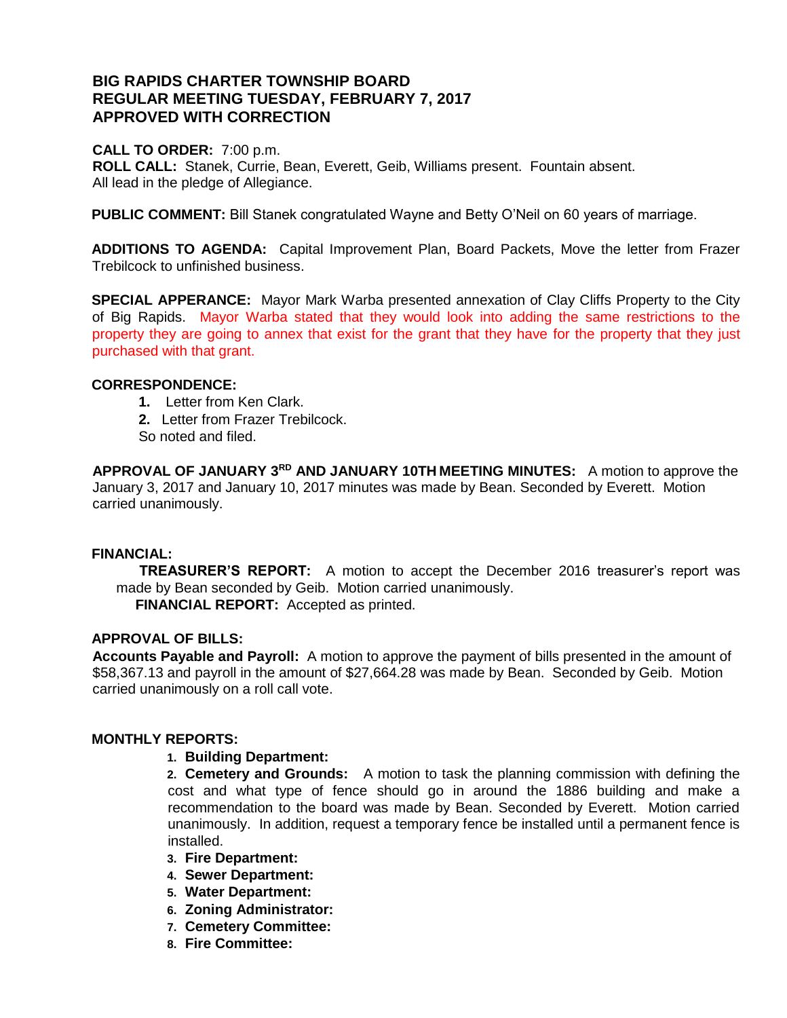# **BIG RAPIDS CHARTER TOWNSHIP BOARD REGULAR MEETING TUESDAY, FEBRUARY 7, 2017 APPROVED WITH CORRECTION**

#### **CALL TO ORDER:** 7:00 p.m.

**ROLL CALL:** Stanek, Currie, Bean, Everett, Geib, Williams present. Fountain absent. All lead in the pledge of Allegiance.

**PUBLIC COMMENT:** Bill Stanek congratulated Wayne and Betty O'Neil on 60 years of marriage.

**ADDITIONS TO AGENDA:** Capital Improvement Plan, Board Packets, Move the letter from Frazer Trebilcock to unfinished business.

**SPECIAL APPERANCE:** Mayor Mark Warba presented annexation of Clay Cliffs Property to the City of Big Rapids. Mayor Warba stated that they would look into adding the same restrictions to the property they are going to annex that exist for the grant that they have for the property that they just purchased with that grant.

### **CORRESPONDENCE:**

- **1.** Letter from Ken Clark.
- **2.** Letter from Frazer Trebilcock.
- So noted and filed.

**APPROVAL OF JANUARY 3RD AND JANUARY 10TH MEETING MINUTES:** A motion to approve the January 3, 2017 and January 10, 2017 minutes was made by Bean. Seconded by Everett. Motion carried unanimously.

#### **FINANCIAL:**

 **TREASURER'S REPORT:** A motion to accept the December 2016 treasurer's report was made by Bean seconded by Geib. Motion carried unanimously.  **FINANCIAL REPORT:** Accepted as printed.

#### **APPROVAL OF BILLS:**

**Accounts Payable and Payroll:** A motion to approve the payment of bills presented in the amount of \$58,367.13 and payroll in the amount of \$27,664.28 was made by Bean. Seconded by Geib. Motion carried unanimously on a roll call vote.

# **MONTHLY REPORTS:**

#### **1. Building Department:**

**2. Cemetery and Grounds:** A motion to task the planning commission with defining the cost and what type of fence should go in around the 1886 building and make a recommendation to the board was made by Bean. Seconded by Everett. Motion carried unanimously. In addition, request a temporary fence be installed until a permanent fence is installed.

- **3. Fire Department:**
- **4. Sewer Department:**
- **5. Water Department:**
- **6. Zoning Administrator:**
- **7. Cemetery Committee:**
- **8. Fire Committee:**